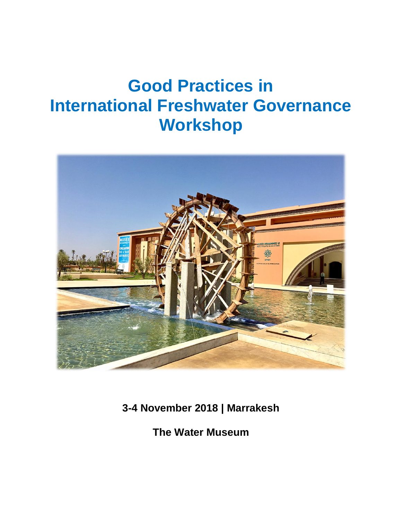# **Good Practices in International Freshwater Governance Workshop**



**3-4 November 2018 | Marrakesh**

**The Water Museum**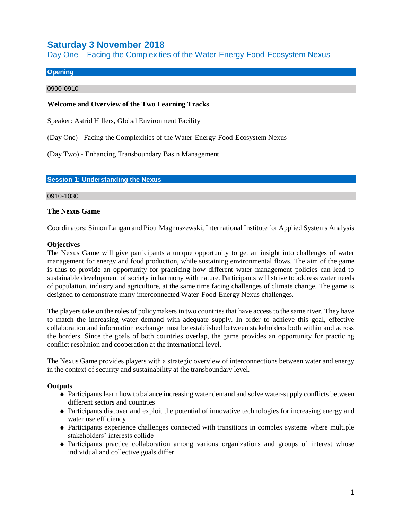# **Saturday 3 November 2018**

Day One – Facing the Complexities of the Water-Energy-Food-Ecosystem Nexus

#### **Opening**

#### 0900-0910

#### **Welcome and Overview of the Two Learning Tracks**

Speaker: Astrid Hillers, Global Environment Facility

(Day One) - Facing the Complexities of the Water-Energy-Food-Ecosystem Nexus

(Day Two) - Enhancing Transboundary Basin Management

#### **Session 1: Understanding the Nexus**

#### 0910-1030

#### **The Nexus Game**

Coordinators: Simon Langan and Piotr Magnuszewski, International Institute for Applied Systems Analysis

#### **Objectives**

The Nexus Game will give participants a unique opportunity to get an insight into challenges of water management for energy and food production, while sustaining environmental flows. The aim of the game is thus to provide an opportunity for practicing how different water management policies can lead to sustainable development of society in harmony with nature. Participants will strive to address water needs of population, industry and agriculture, at the same time facing challenges of climate change. The game is designed to demonstrate many interconnected Water-Food-Energy Nexus challenges.

The players take on the roles of policymakers in two countries that have access to the same river. They have to match the increasing water demand with adequate supply. In order to achieve this goal, effective collaboration and information exchange must be established between stakeholders both within and across the borders. Since the goals of both countries overlap, the game provides an opportunity for practicing conflict resolution and cooperation at the international level.

The Nexus Game provides players with a strategic overview of interconnections between water and energy in the context of security and sustainability at the transboundary level.

#### **Outputs**

- Participants learn how to balance increasing water demand and solve water-supply conflicts between different sectors and countries
- Participants discover and exploit the potential of innovative technologies for increasing energy and water use efficiency
- Participants experience challenges connected with transitions in complex systems where multiple stakeholders' interests collide
- Participants practice collaboration among various organizations and groups of interest whose individual and collective goals differ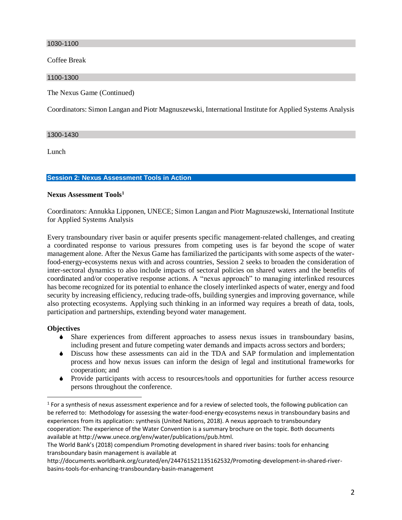1030-1100

Coffee Break

1100-1300

The Nexus Game (Continued)

Coordinators: Simon Langan and Piotr Magnuszewski, International Institute for Applied Systems Analysis

#### 1300-1430

Lunch

#### **Session 2: Nexus Assessment Tools in Action**

#### **Nexus Assessment Tools<sup>1</sup>**

Coordinators: Annukka Lipponen, UNECE; Simon Langan and Piotr Magnuszewski, International Institute for Applied Systems Analysis

Every transboundary river basin or aquifer presents specific management-related challenges, and creating a coordinated response to various pressures from competing uses is far beyond the scope of water management alone. After the Nexus Game has familiarized the participants with some aspects of the waterfood-energy-ecosystems nexus with and across countries, Session 2 seeks to broaden the consideration of inter-sectoral dynamics to also include impacts of sectoral policies on shared waters and the benefits of coordinated and/or cooperative response actions. A "nexus approach" to managing interlinked resources has become recognized for its potential to enhance the closely interlinked aspects of water, energy and food security by increasing efficiency, reducing trade-offs, building synergies and improving governance, while also protecting ecosystems. Applying such thinking in an informed way requires a breath of data, tools, participation and partnerships, extending beyond water management.

#### **Objectives**

 $\overline{a}$ 

- Share experiences from different approaches to assess nexus issues in transboundary basins, including present and future competing water demands and impacts across sectors and borders;
- Discuss how these assessments can aid in the TDA and SAP formulation and implementation process and how nexus issues can inform the design of legal and institutional frameworks for cooperation; and
- Provide participants with access to resources/tools and opportunities for further access resource persons throughout the conference.

 $1$  For a synthesis of nexus assessment experience and for a review of selected tools, the following publication can be referred to: Methodology for assessing the water-food-energy-ecosystems nexus in transboundary basins and experiences from its application: synthesis (United Nations, 2018). A nexus approach to transboundary cooperation: The experience of the Water Convention is a summary brochure on the topic. Both documents available at http://www.unece.org/env/water/publications/pub.html.

The World Bank's (2018) compendium Promoting development in shared river basins: tools for enhancing transboundary basin management is available at

http://documents.worldbank.org/curated/en/244761521135162532/Promoting-development-in-shared-riverbasins-tools-for-enhancing-transboundary-basin-management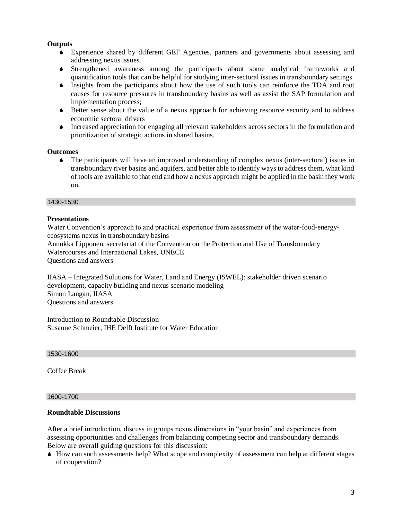#### **Outputs**

- Experience shared by different GEF Agencies, partners and governments about assessing and addressing nexus issues.
- Strengthened awareness among the participants about some analytical frameworks and quantification tools that can be helpful for studying inter-sectoral issues in transboundary settings.
- Insights from the participants about how the use of such tools can reinforce the TDA and root causes for resource pressures in transboundary basins as well as assist the SAP formulation and implementation process;
- Better sense about the value of a nexus approach for achieving resource security and to address economic sectoral drivers
- Increased appreciation for engaging all relevant stakeholders across sectors in the formulation and prioritization of strategic actions in shared basins.

#### **Outcomes**

 The participants will have an improved understanding of complex nexus (inter-sectoral) issues in transboundary river basins and aquifers, and better able to identify ways to address them, what kind of tools are available to that end and how a nexus approach might be applied in the basin they work on.

#### 1430-1530

#### **Presentations**

Water Convention's approach to and practical experience from assessment of the water-food-energyecosystems nexus in transboundary basins Annukka Lipponen, secretariat of the Convention on the Protection and Use of Transboundary

Watercourses and International Lakes, UNECE

Questions and answers

IIASA – Integrated Solutions for Water, Land and Energy (ISWEL): stakeholder driven scenario development, capacity building and nexus scenario modeling Simon Langan, IIASA Questions and answers

Introduction to Roundtable Discussion Susanne Schmeier, IHE Delft Institute for Water Education

#### 1530-1600

Coffee Break

#### 1600-1700

#### **Roundtable Discussions**

After a brief introduction, discuss in groups nexus dimensions in "your basin" and experiences from assessing opportunities and challenges from balancing competing sector and transboundary demands. Below are overall guiding questions for this discussion:

 How can such assessments help? What scope and complexity of assessment can help at different stages of cooperation?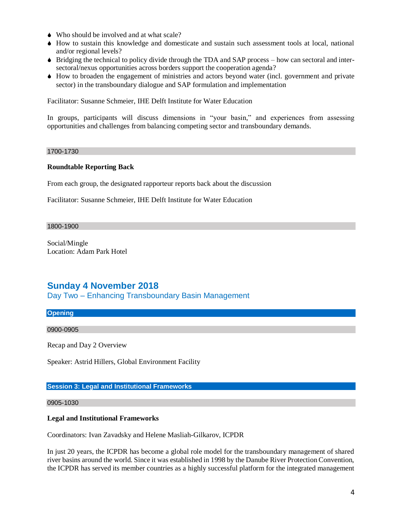- Who should be involved and at what scale?
- How to sustain this knowledge and domesticate and sustain such assessment tools at local, national and/or regional levels?
- $\bullet$  Bridging the technical to policy divide through the TDA and SAP process how can sectoral and intersectoral/nexus opportunities across borders support the cooperation agenda?
- How to broaden the engagement of ministries and actors beyond water (incl. government and private sector) in the transboundary dialogue and SAP formulation and implementation

Facilitator: Susanne Schmeier, IHE Delft Institute for Water Education

In groups, participants will discuss dimensions in "your basin," and experiences from assessing opportunities and challenges from balancing competing sector and transboundary demands.

#### 1700-1730

#### **Roundtable Reporting Back**

From each group, the designated rapporteur reports back about the discussion

Facilitator: Susanne Schmeier, IHE Delft Institute for Water Education

#### 1800-1900

Social/Mingle Location: Adam Park Hotel

## **Sunday 4 November 2018**

Day Two – Enhancing Transboundary Basin Management

#### **Opening**

#### 0900-0905

Recap and Day 2 Overview

Speaker: Astrid Hillers, Global Environment Facility

#### **Session 3: Legal and Institutional Frameworks**

#### 0905-1030

#### **Legal and Institutional Frameworks**

Coordinators: Ivan Zavadsky and Helene Masliah-Gilkarov, ICPDR

In just 20 years, the ICPDR has become a global role model for the transboundary management of shared river basins around the world. Since it was established in 1998 by the Danube River Protection Convention, the ICPDR has served its member countries as a highly successful platform for the integrated management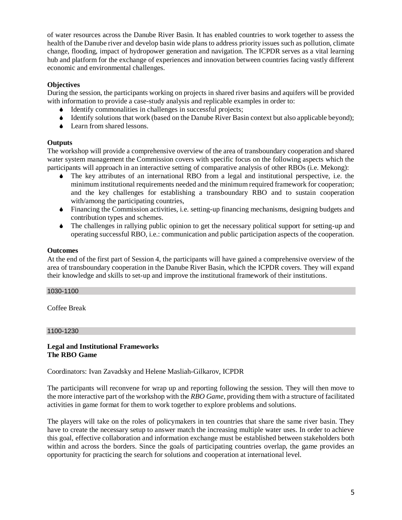of water resources across the Danube River Basin. It has enabled countries to work together to assess the health of the Danube river and develop basin wide plans to address priority issues such as pollution, climate change, flooding, impact of hydropower generation and navigation. The ICPDR serves as a vital learning hub and platform for the exchange of experiences and innovation between countries facing vastly different economic and environmental challenges.

### **Objectives**

During the session, the participants working on projects in shared river basins and aquifers will be provided with information to provide a case-study analysis and replicable examples in order to:

- $\blacklozenge$  Identify commonalities in challenges in successful projects;
- Identify solutions that work (based on the Danube River Basin context but also applicable beyond);
- ◆ Learn from shared lessons.

#### **Outputs**

The workshop will provide a comprehensive overview of the area of transboundary cooperation and shared water system management the Commission covers with specific focus on the following aspects which the participants will approach in an interactive setting of comparative analysis of other RBOs (i.e. Mekong):

- The key attributes of an international RBO from a legal and institutional perspective, i.e. the minimum institutional requirements needed and the minimum required framework for cooperation; and the key challenges for establishing a transboundary RBO and to sustain cooperation with/among the participating countries,
- Financing the Commission activities, i.e. setting-up financing mechanisms, designing budgets and contribution types and schemes.
- The challenges in rallying public opinion to get the necessary political support for setting-up and operating successful RBO, i.e.: communication and public participation aspects of the cooperation.

#### **Outcomes**

At the end of the first part of Session 4, the participants will have gained a comprehensive overview of the area of transboundary cooperation in the Danube River Basin, which the ICPDR covers. They will expand their knowledge and skills to set-up and improve the institutional framework of their institutions.

#### 1030-1100

Coffee Break

#### 1100-1230

#### **Legal and Institutional Frameworks The RBO Game**

Coordinators: Ivan Zavadsky and Helene Masliah-Gilkarov, ICPDR

The participants will reconvene for wrap up and reporting following the session. They will then move to the more interactive part of the workshop with the *RBO Game*, providing them with a structure of facilitated activities in game format for them to work together to explore problems and solutions.

The players will take on the roles of policymakers in ten countries that share the same river basin. They have to create the necessary setup to answer match the increasing multiple water uses. In order to achieve this goal, effective collaboration and information exchange must be established between stakeholders both within and across the borders. Since the goals of participating countries overlap, the game provides an opportunity for practicing the search for solutions and cooperation at international level.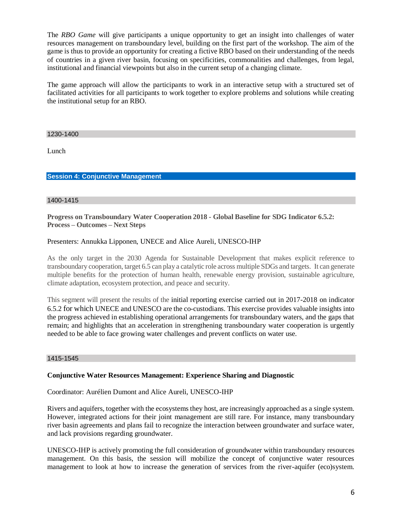The *RBO Game* will give participants a unique opportunity to get an insight into challenges of water resources management on transboundary level, building on the first part of the workshop. The aim of the game is thus to provide an opportunity for creating a fictive RBO based on their understanding of the needs of countries in a given river basin, focusing on specificities, commonalities and challenges, from legal, institutional and financial viewpoints but also in the current setup of a changing climate.

The game approach will allow the participants to work in an interactive setup with a structured set of facilitated activities for all participants to work together to explore problems and solutions while creating the institutional setup for an RBO.

1230-1400

Lunch

#### **Session 4: Conjunctive Management**

#### 1400-1415

#### **Progress on Transboundary Water Cooperation 2018 - Global Baseline for SDG Indicator 6.5.2: Process – Outcomes – Next Steps**

#### Presenters: Annukka Lipponen, UNECE and Alice Aureli, UNESCO-IHP

As the only target in the 2030 Agenda for Sustainable Development that makes explicit reference to transboundary cooperation, target 6.5 can play a catalytic role across multiple SDGs and targets. It can generate multiple benefits for the protection of human health, renewable energy provision, sustainable agriculture, climate adaptation, ecosystem protection, and peace and security.

This segment will present the results of the initial reporting exercise carried out in 2017-2018 on indicator 6.5.2 for which UNECE and UNESCO are the co-custodians. This exercise provides valuable insights into the progress achieved in establishing operational arrangements for transboundary waters, and the gaps that remain; and highlights that an acceleration in strengthening transboundary water cooperation is urgently needed to be able to face growing water challenges and prevent conflicts on water use.

#### 1415-1545

#### **Conjunctive Water Resources Management: Experience Sharing and Diagnostic**

Coordinator: Aurélien Dumont and Alice Aureli, UNESCO-IHP

Rivers and aquifers, together with the ecosystems they host, are increasingly approached as a single system. However, integrated actions for their joint management are still rare. For instance, many transboundary river basin agreements and plans fail to recognize the interaction between groundwater and surface water, and lack provisions regarding groundwater.

UNESCO-IHP is actively promoting the full consideration of groundwater within transboundary resources management. On this basis, the session will mobilize the concept of conjunctive water resources management to look at how to increase the generation of services from the river-aquifer (eco)system.